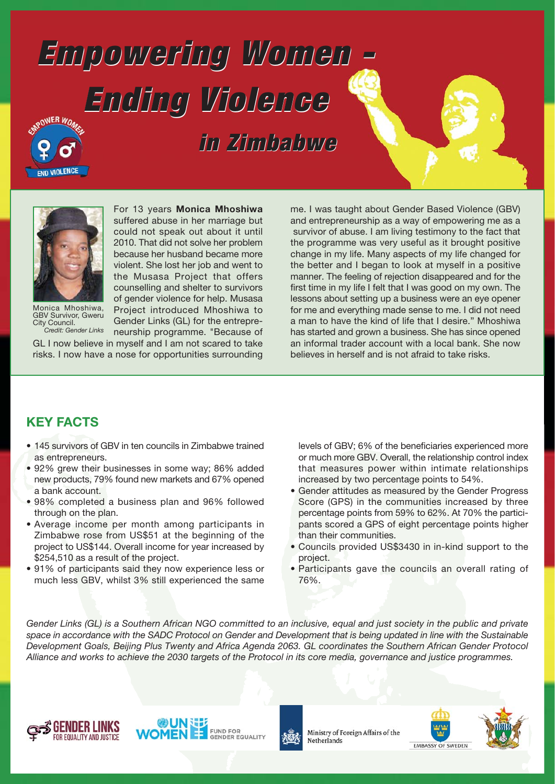# **Empowering Women - Empowering Women - Ending Violence Ending Violence**

 **in Zimbabwe in Zimbabwe**



**ND VIOLENCE** 

Monica Mhoshiwa, GBV Survivor, Gweru City Council. *Credit: Gender Links*

suffered abuse in her marriage but could not speak out about it until 2010. That did not solve her problem because her husband became more violent. She lost her job and went to the Musasa Project that offers counselling and shelter to survivors of gender violence for help. Musasa Project introduced Mhoshiwa to Gender Links (GL) for the entrepreneurship programme. "Because of

For 13 years **Monica Mhoshiwa**

GL I now believe in myself and I am not scared to take risks. I now have a nose for opportunities surrounding

me. I was taught about Gender Based Violence (GBV) and entrepreneurship as a way of empowering me as a survivor of abuse. I am living testimony to the fact that the programme was very useful as it brought positive change in my life. Many aspects of my life changed for the better and I began to look at myself in a positive manner. The feeling of rejection disappeared and for the first time in my life I felt that I was good on my own. The lessons about setting up a business were an eye opener for me and everything made sense to me. I did not need a man to have the kind of life that I desire." Mhoshiwa has started and grown a business. She has since opened an informal trader account with a local bank. She now believes in herself and is not afraid to take risks.

### **KEY FACTS**

- 145 survivors of GBV in ten councils in Zimbabwe trained as entrepreneurs.
- 92% grew their businesses in some way; 86% added new products, 79% found new markets and 67% opened a bank account.
- 98% completed a business plan and 96% followed through on the plan.
- Average income per month among participants in Zimbabwe rose from US\$51 at the beginning of the project to US\$144. Overall income for year increased by \$254,510 as a result of the project.
- 91% of participants said they now experience less or much less GBV, whilst 3% still experienced the same

levels of GBV; 6% of the beneficiaries experienced more or much more GBV. Overall, the relationship control index that measures power within intimate relationships increased by two percentage points to 54%.

- Gender attitudes as measured by the Gender Progress Score (GPS) in the communities increased by three percentage points from 59% to 62%. At 70% the participants scored a GPS of eight percentage points higher than their communities.
- Councils provided US\$3430 in in-kind support to the project.
- Participants gave the councils an overall rating of 76%.

*Gender Links (GL) is a Southern African NGO committed to an inclusive, equal and just society in the public and private space in accordance with the SADC Protocol on Gender and Development that is being updated in line with the Sustainable Development Goals, Beijing Plus Twenty and Africa Agenda 2063. GL coordinates the Southern African Gender Protocol Alliance and works to achieve the 2030 targets of the Protocol in its core media, governance and justice programmes.*







Ministry of Foreign Affairs of the Netherlands



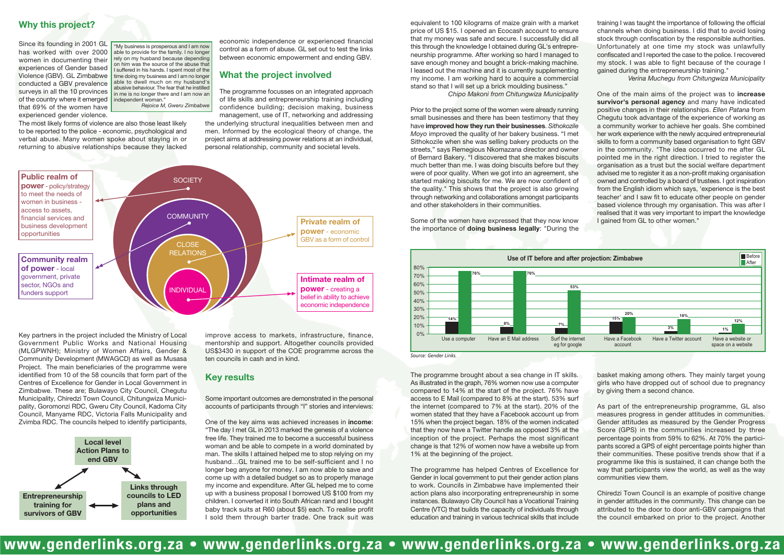#### **Why this project?**

Since its founding in 2001 GL has worked with over 2000 women in documenting their experiences of Gender based Violence (GBV). GL Zimbabwe conducted a GBV prevalence surveys in all the 10 provinces of the country where it emerged that 69% of the women have experienced gender violence.

The most likely forms of violence are also those least likely to be reported to the police - economic, psychological and verbal abuse. Many women spoke about staying in or returning to abusive relationships because they lacked

> basket making among others. They mainly target young girls who have dropped out of school due to pregnancy by giving them a second chance.

> As part of the entrepreneurship programme, GL also measures progress in gender attitudes in communities. Gender attitudes as measured by the Gender Progress Score (GPS) in the communities increased by three percentage points from 59% to 62%. At 70% the participants scored a GPS of eight percentage points higher than their communities. These positive trends show that if a programme like this is sustained, it can change both the way that participants view the world, as well as the way communities view them.

> Chiredzi Town Council is an example of positive change in gender attitudes in the community. This change can be attributed to the door to door anti-GBV campaigns that the council embarked on prior to the project. Another

The programme brought about a sea change in IT skills. As illustrated in the graph, 76% women now use a computer compared to 14% at the start of the project. 76% have access to E Mail (compared to 8% at the start). 53% surf the internet (compared to 7% at the start). 20% of the women stated that they have a Facebook account up from 15% when the project began. 18% of the women indicated that they now have a Twitter handle as opposed 3% at the inception of the project. Perhaps the most significant change is that 12% of women now have a website up from 1% at the beginning of the project.

The programme has helped Centres of Excellence for Gender in local government to put their gender action plans to work. Councils in Zimbabwe have implemented their action plans also incorporating entrepreneurship in some instances. Bulawayo City Council has a Vocational Training Centre (VTC) that builds the capacity of individuals through education and training in various technical skills that include



equivalent to 100 kilograms of maize grain with a market price of US \$15. I opened an Ecocash account to ensure that my money was safe and secure. I successfully did all this through the knowledge I obtained during GL's entrepreneurship programme. After working so hard I managed to save enough money and bought a brick-making machine. I leased out the machine and it is currently supplementing my income. I am working hard to acquire a commercial stand so that I will set up a brick moulding business."

*Chipo Makoni from Chitungwiza Municipality*

Prior to the project some of the women were already running small businesses and there has been testimony that they have **improved how they run their businesses**. *Sithokozile Moyo* improved the quality of her bakery business. "I met Sithokozile when she was selling bakery products on the streets," says Remegious Nkomazana director and owner of Bernard Bakery. "I discovered that she makes biscuits much better than me. I was doing biscuits before but they were of poor quality. When we got into an agreement, she started making biscuits for me. We are now confident of the quality." This shows that the project is also growing through networking and collaborations amongst participants and other stakeholders in their communities.

Some of the women have expressed that they now know the importance of **doing business legally**: "During the

Key partners in the project included the Ministry of Local Government Public Works and National Housing (MLGPWNH); Ministry of Women Affairs, Gender & Community Development (MWAGCD) as well as Musasa Project. The main beneficiaries of the programme were identified from 10 of the 58 councils that form part of the Centres of Excellence for Gender in Local Government in Zimbabwe. These are; Bulawayo City Council, Chegutu Municipality, Chiredzi Town Council, Chitungwiza Municipality, Goromonzi RDC, Gweru City Council, Kadoma City Council, Manyame RDC, Victoria Falls Municipality and Zvimba RDC. The councils helped to identify participants,





*Source: Gender Links.*

economic independence or experienced financial control as a form of abuse. GL set out to test the links between economic empowerment and ending GBV.

#### **What the project involved**

The programme focusses on an integrated approach of life skills and entrepreneurship training including confidence building; decision making, business management, use of IT, networking and addressing

the underlying structural inequalities between men and men. Informed by the ecological theory of change, the project aims at addressing power relations at an individual, personal relationship, community and societal levels.

"My business is prosperous and I am now able to provide for the family. I no longer rely on my husband because depending on him was the source of the abuse that I suffered in his hands. I spent most of the time doing my business and I am no longer able to dwell much on my husband's abusive behaviour. The fear that he instilled in me is no longer there and I am now an independent woman." *Rejoice M, Gweru Zimbabwe*

training I was taught the importance of following the official channels when doing business. I did that to avoid losing stock through confiscation by the responsible authorities. Unfortunately at one time my stock was unlawfully confiscated and I reported the case to the police. I recovered my stock. I was able to fight because of the courage I gained during the entrepreneurship training."

*Verina Muchegu from Chitungwiza Municipality*

One of the main aims of the project was to **increase survivor's personal agency** and many have indicated positive changes in their relationships. *Ellen Patana* from Chegutu took advantage of the experience of working as a community worker to achieve her goals. She combined her work experience with the newly acquired entrepreneurial skills to form a community based organisation to fight GBV in the community. "The idea occurred to me after GL pointed me in the right direction. I tried to register the organisation as a trust but the social welfare department advised me to register it as a non-profit making organisation owned and controlled by a board of trustees. I got inspiration from the English idiom which says, 'experience is the best teacher' and I saw fit to educate other people on gender based violence through my organisation. This was after I realised that it was very important to impart the knowledge I gained from GL to other women."

## **www.genderlinks.org.za • www.genderlinks.org.za • www.genderlinks.org.za • www.genderlinks.org.za**

improve access to markets, infrastructure, finance, mentorship and support. Altogether councils provided US\$3430 in support of the COE programme across the ten councils in cash and in kind.

Some important outcomes are demonstrated in the personal accounts of participants through "I" stories and interviews:

One of the key aims was achieved increases in **income**: "The day I met GL in 2013 marked the genesis of a violence free life. They trained me to become a successful business woman and be able to compete in a world dominated by man. The skills I attained helped me to stop relying on my husband…GL trained me to be self-sufficient and I no longer beg anyone for money. I am now able to save and come up with a detailed budget so as to properly manage my income and expenditure. After GL helped me to come up with a business proposal I borrowed US \$100 from my children. I converted it into South African rand and I bought baby track suits at R60 (about \$5) each. To realise profit I sold them through barter trade. One track suit was

#### **Key results**